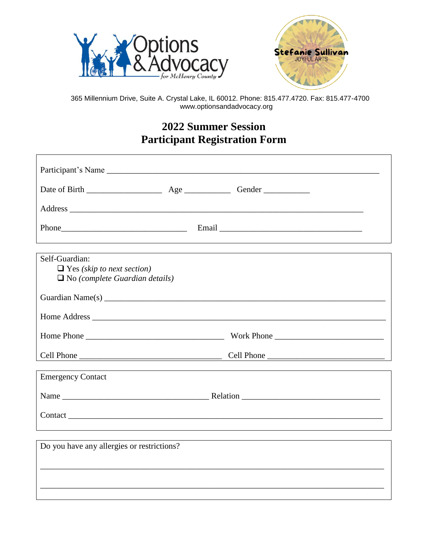

 $\Gamma$ 



365 Millennium Drive, Suite A. Crystal Lake, IL 60012. Phone: 815.477.4720. Fax: 815.477-4700 www.optionsandadvocacy.org

## **2022 Summer Session Participant Registration Form**

| Participant's Name                                                                           |                                                                                                                                                                                                                                |
|----------------------------------------------------------------------------------------------|--------------------------------------------------------------------------------------------------------------------------------------------------------------------------------------------------------------------------------|
|                                                                                              |                                                                                                                                                                                                                                |
|                                                                                              |                                                                                                                                                                                                                                |
|                                                                                              |                                                                                                                                                                                                                                |
|                                                                                              |                                                                                                                                                                                                                                |
| Self-Guardian:<br>$\Box$ Yes (skip to next section)<br>$\Box$ No (complete Guardian details) |                                                                                                                                                                                                                                |
|                                                                                              |                                                                                                                                                                                                                                |
|                                                                                              |                                                                                                                                                                                                                                |
|                                                                                              |                                                                                                                                                                                                                                |
| Cell Phone                                                                                   | Cell Phone                                                                                                                                                                                                                     |
| <b>Emergency Contact</b>                                                                     |                                                                                                                                                                                                                                |
|                                                                                              |                                                                                                                                                                                                                                |
|                                                                                              | Contact contact contact contact contact contact contact contact contact contact contact contact contact contact contact contact contact contact contact contact contact contact contact contact contact contact contact contac |
|                                                                                              |                                                                                                                                                                                                                                |
|                                                                                              |                                                                                                                                                                                                                                |
| Do you have any allergies or restrictions?                                                   |                                                                                                                                                                                                                                |
|                                                                                              |                                                                                                                                                                                                                                |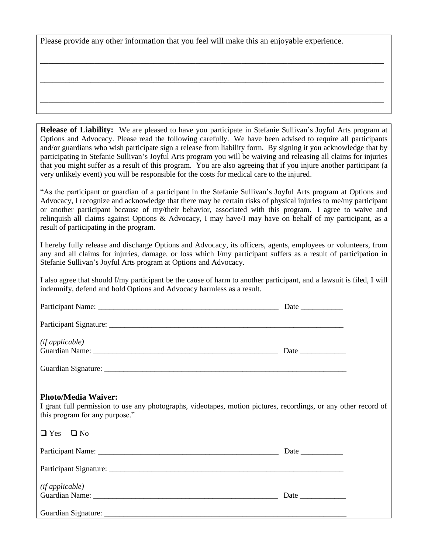Please provide any other information that you feel will make this an enjoyable experience.

**Release of Liability:** We are pleased to have you participate in Stefanie Sullivan's Joyful Arts program at Options and Advocacy. Please read the following carefully. We have been advised to require all participants and/or guardians who wish participate sign a release from liability form. By signing it you acknowledge that by participating in Stefanie Sullivan's Joyful Arts program you will be waiving and releasing all claims for injuries that you might suffer as a result of this program. You are also agreeing that if you injure another participant (a very unlikely event) you will be responsible for the costs for medical care to the injured.

\_\_\_\_\_\_\_\_\_\_\_\_\_\_\_\_\_\_\_\_\_\_\_\_\_\_\_\_\_\_\_\_\_\_\_\_\_\_\_\_\_\_\_\_\_\_\_\_\_\_\_\_\_\_\_\_\_\_\_\_\_\_\_\_\_\_\_\_\_\_\_\_\_\_\_\_\_\_\_\_\_\_

\_\_\_\_\_\_\_\_\_\_\_\_\_\_\_\_\_\_\_\_\_\_\_\_\_\_\_\_\_\_\_\_\_\_\_\_\_\_\_\_\_\_\_\_\_\_\_\_\_\_\_\_\_\_\_\_\_\_\_\_\_\_\_\_\_\_\_\_\_\_\_\_\_\_\_\_\_\_\_\_\_\_

\_\_\_\_\_\_\_\_\_\_\_\_\_\_\_\_\_\_\_\_\_\_\_\_\_\_\_\_\_\_\_\_\_\_\_\_\_\_\_\_\_\_\_\_\_\_\_\_\_\_\_\_\_\_\_\_\_\_\_\_\_\_\_\_\_\_\_\_\_\_\_\_\_\_\_\_\_\_\_\_\_\_

"As the participant or guardian of a participant in the Stefanie Sullivan's Joyful Arts program at Options and Advocacy, I recognize and acknowledge that there may be certain risks of physical injuries to me/my participant or another participant because of my/their behavior, associated with this program. I agree to waive and relinquish all claims against Options & Advocacy, I may have/I may have on behalf of my participant, as a result of participating in the program.

I hereby fully release and discharge Options and Advocacy, its officers, agents, employees or volunteers, from any and all claims for injuries, damage, or loss which I/my participant suffers as a result of participation in Stefanie Sullivan's Joyful Arts program at Options and Advocacy.

I also agree that should I/my participant be the cause of harm to another participant, and a lawsuit is filed, I will indemnify, defend and hold Options and Advocacy harmless as a result.

| (ifappliedble)                                                                                                                                                                  |  |
|---------------------------------------------------------------------------------------------------------------------------------------------------------------------------------|--|
|                                                                                                                                                                                 |  |
|                                                                                                                                                                                 |  |
|                                                                                                                                                                                 |  |
| <b>Photo/Media Waiver:</b><br>I grant full permission to use any photographs, videotapes, motion pictures, recordings, or any other record of<br>this program for any purpose." |  |
| $\Box$ Yes $\Box$ No                                                                                                                                                            |  |
|                                                                                                                                                                                 |  |
|                                                                                                                                                                                 |  |
| (ifappliedble)                                                                                                                                                                  |  |
|                                                                                                                                                                                 |  |
|                                                                                                                                                                                 |  |